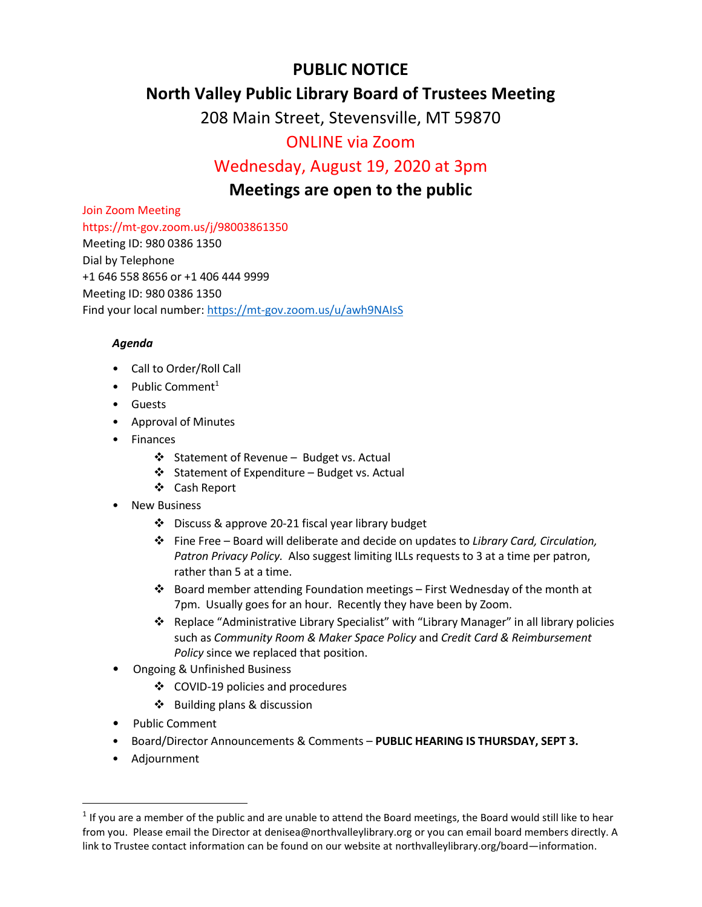# **PUBLIC NOTICE**

## **North Valley Public Library Board of Trustees Meeting**

208 Main Street, Stevensville, MT 59870

## ONLINE via Zoom

## Wednesday, August 19, 2020 at 3pm

## **Meetings are open to the public**

Join Zoom Meeting

https://mt-gov.zoom.us/j/98003861350 Meeting ID: 980 0386 1350

Dial by Telephone +1 646 558 8656 or +1 406 444 9999 Meeting ID: 980 0386 1350 Find your local number[: https://mt-gov.zoom.us/u/awh9NAIsS](https://mt-gov.zoom.us/u/awh9NAIsS)

### *Agenda*

- Call to Order/Roll Call
- Public Comment<sup>1</sup>
- Guests
- Approval of Minutes
- Finances
	- ❖ Statement of Revenue Budget vs. Actual
	- ❖ Statement of Expenditure Budget vs. Actual
	- Cash Report
- **New Business** 
	- Discuss & approve 20-21 fiscal year library budget
	- Fine Free Board will deliberate and decide on updates to *Library Card, Circulation, Patron Privacy Policy.* Also suggest limiting ILLs requests to 3 at a time per patron, rather than 5 at a time.
	- $\cdot \cdot$  Board member attending Foundation meetings First Wednesday of the month at 7pm. Usually goes for an hour. Recently they have been by Zoom.
	- Replace "Administrative Library Specialist" with "Library Manager" in all library policies such as *Community Room & Maker Space Policy* and *Credit Card & Reimbursement Policy* since we replaced that position.
- Ongoing & Unfinished Business
	- COVID-19 policies and procedures
	- Building plans & discussion
- Public Comment
- Board/Director Announcements & Comments **PUBLIC HEARING IS THURSDAY, SEPT 3.**
- Adjournment

 $\overline{a}$ 

 $1$  If you are a member of the public and are unable to attend the Board meetings, the Board would still like to hear from you. Please email the Director at denisea@northvalleylibrary.org or you can email board members directly. A link to Trustee contact information can be found on our website at northvalleylibrary.org/board—information.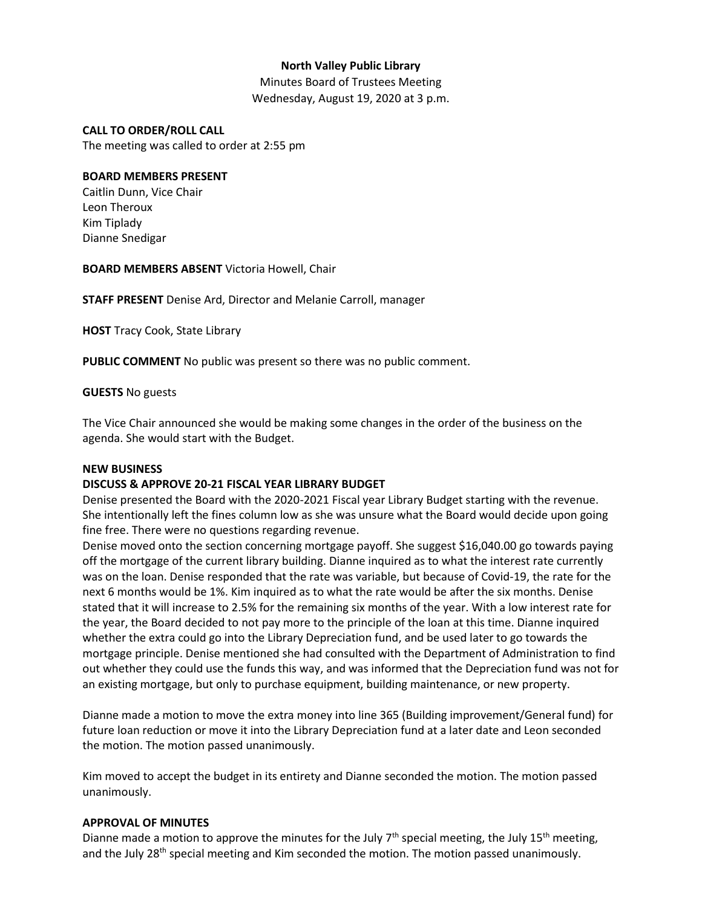### **North Valley Public Library**

Minutes Board of Trustees Meeting Wednesday, August 19, 2020 at 3 p.m.

#### **CALL TO ORDER/ROLL CALL**

The meeting was called to order at 2:55 pm

#### **BOARD MEMBERS PRESENT**

Caitlin Dunn, Vice Chair Leon Theroux Kim Tiplady Dianne Snedigar

**BOARD MEMBERS ABSENT** Victoria Howell, Chair

**STAFF PRESENT** Denise Ard, Director and Melanie Carroll, manager

**HOST** Tracy Cook, State Library

**PUBLIC COMMENT** No public was present so there was no public comment.

#### **GUESTS** No guests

The Vice Chair announced she would be making some changes in the order of the business on the agenda. She would start with the Budget.

#### **NEW BUSINESS**

### **DISCUSS & APPROVE 20-21 FISCAL YEAR LIBRARY BUDGET**

Denise presented the Board with the 2020-2021 Fiscal year Library Budget starting with the revenue. She intentionally left the fines column low as she was unsure what the Board would decide upon going fine free. There were no questions regarding revenue.

Denise moved onto the section concerning mortgage payoff. She suggest \$16,040.00 go towards paying off the mortgage of the current library building. Dianne inquired as to what the interest rate currently was on the loan. Denise responded that the rate was variable, but because of Covid-19, the rate for the next 6 months would be 1%. Kim inquired as to what the rate would be after the six months. Denise stated that it will increase to 2.5% for the remaining six months of the year. With a low interest rate for the year, the Board decided to not pay more to the principle of the loan at this time. Dianne inquired whether the extra could go into the Library Depreciation fund, and be used later to go towards the mortgage principle. Denise mentioned she had consulted with the Department of Administration to find out whether they could use the funds this way, and was informed that the Depreciation fund was not for an existing mortgage, but only to purchase equipment, building maintenance, or new property.

Dianne made a motion to move the extra money into line 365 (Building improvement/General fund) for future loan reduction or move it into the Library Depreciation fund at a later date and Leon seconded the motion. The motion passed unanimously.

Kim moved to accept the budget in its entirety and Dianne seconded the motion. The motion passed unanimously.

#### **APPROVAL OF MINUTES**

Dianne made a motion to approve the minutes for the July  $7<sup>th</sup>$  special meeting, the July 15<sup>th</sup> meeting, and the July  $28<sup>th</sup>$  special meeting and Kim seconded the motion. The motion passed unanimously.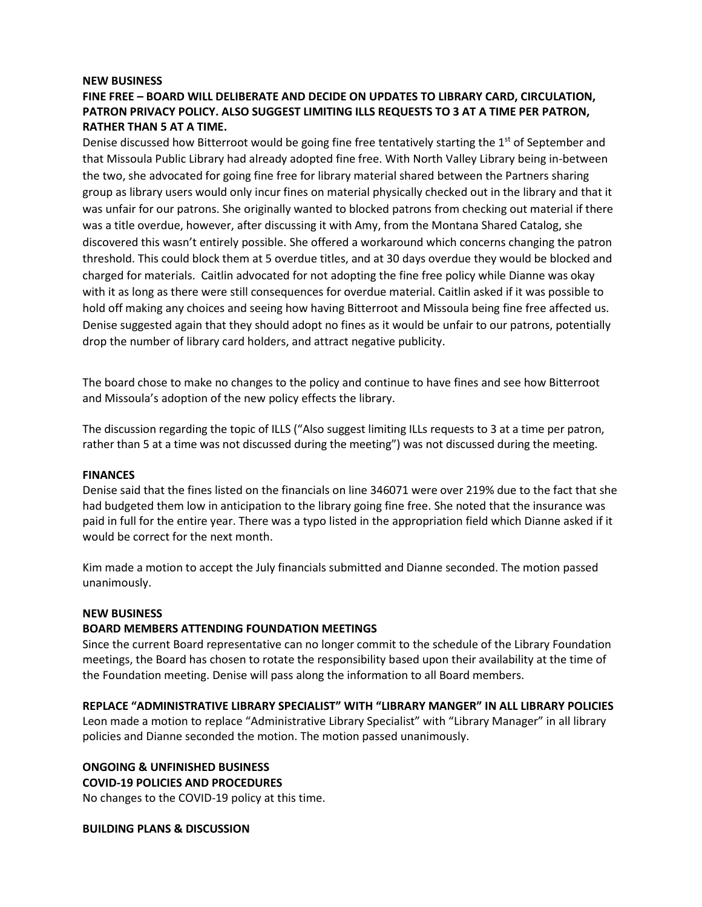#### **NEW BUSINESS**

### **FINE FREE – BOARD WILL DELIBERATE AND DECIDE ON UPDATES TO LIBRARY CARD, CIRCULATION, PATRON PRIVACY POLICY. ALSO SUGGEST LIMITING ILLS REQUESTS TO 3 AT A TIME PER PATRON, RATHER THAN 5 AT A TIME.**

Denise discussed how Bitterroot would be going fine free tentatively starting the  $1<sup>st</sup>$  of September and that Missoula Public Library had already adopted fine free. With North Valley Library being in-between the two, she advocated for going fine free for library material shared between the Partners sharing group as library users would only incur fines on material physically checked out in the library and that it was unfair for our patrons. She originally wanted to blocked patrons from checking out material if there was a title overdue, however, after discussing it with Amy, from the Montana Shared Catalog, she discovered this wasn't entirely possible. She offered a workaround which concerns changing the patron threshold. This could block them at 5 overdue titles, and at 30 days overdue they would be blocked and charged for materials. Caitlin advocated for not adopting the fine free policy while Dianne was okay with it as long as there were still consequences for overdue material. Caitlin asked if it was possible to hold off making any choices and seeing how having Bitterroot and Missoula being fine free affected us. Denise suggested again that they should adopt no fines as it would be unfair to our patrons, potentially drop the number of library card holders, and attract negative publicity.

The board chose to make no changes to the policy and continue to have fines and see how Bitterroot and Missoula's adoption of the new policy effects the library.

The discussion regarding the topic of ILLS ("Also suggest limiting ILLs requests to 3 at a time per patron, rather than 5 at a time was not discussed during the meeting") was not discussed during the meeting.

#### **FINANCES**

Denise said that the fines listed on the financials on line 346071 were over 219% due to the fact that she had budgeted them low in anticipation to the library going fine free. She noted that the insurance was paid in full for the entire year. There was a typo listed in the appropriation field which Dianne asked if it would be correct for the next month.

Kim made a motion to accept the July financials submitted and Dianne seconded. The motion passed unanimously.

#### **NEW BUSINESS**

#### **BOARD MEMBERS ATTENDING FOUNDATION MEETINGS**

Since the current Board representative can no longer commit to the schedule of the Library Foundation meetings, the Board has chosen to rotate the responsibility based upon their availability at the time of the Foundation meeting. Denise will pass along the information to all Board members.

#### **REPLACE "ADMINISTRATIVE LIBRARY SPECIALIST" WITH "LIBRARY MANGER" IN ALL LIBRARY POLICIES**

Leon made a motion to replace "Administrative Library Specialist" with "Library Manager" in all library policies and Dianne seconded the motion. The motion passed unanimously.

### **ONGOING & UNFINISHED BUSINESS COVID-19 POLICIES AND PROCEDURES**

No changes to the COVID-19 policy at this time.

#### **BUILDING PLANS & DISCUSSION**